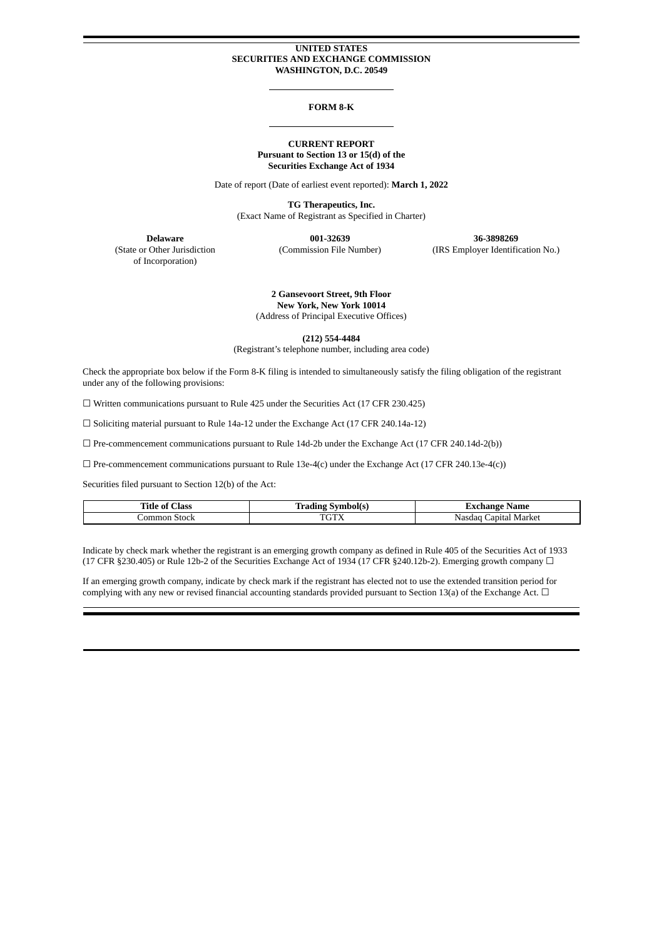#### **UNITED STATES SECURITIES AND EXCHANGE COMMISSION WASHINGTON, D.C. 20549**

#### **FORM 8-K**

#### **CURRENT REPORT Pursuant to Section 13 or 15(d) of the Securities Exchange Act of 1934**

Date of report (Date of earliest event reported): **March 1, 2022**

**TG Therapeutics, Inc.** (Exact Name of Registrant as Specified in Charter)

of Incorporation)

**Delaware 001-32639 36-3898269** (State or Other Jurisdiction (Commission File Number) (IRS Employer Identification No.)

> **2 Gansevoort Street, 9th Floor New York, New York 10014** (Address of Principal Executive Offices)

> > **(212) 554-4484**

(Registrant's telephone number, including area code)

Check the appropriate box below if the Form 8-K filing is intended to simultaneously satisfy the filing obligation of the registrant under any of the following provisions:

☐ Written communications pursuant to Rule 425 under the Securities Act (17 CFR 230.425)

☐ Soliciting material pursuant to Rule 14a-12 under the Exchange Act (17 CFR 240.14a-12)

 $\Box$  Pre-commencement communications pursuant to Rule 14d-2b under the Exchange Act (17 CFR 240.14d-2(b))

 $\Box$  Pre-commencement communications pursuant to Rule 13e-4(c) under the Exchange Act (17 CFR 240.13e-4(c))

Securities filed pursuant to Section 12(b) of the Act:

| Title of<br><b>Class</b> | $\sim$<br>Svmbol(s)<br>Tradıng | Exchange Name            |
|--------------------------|--------------------------------|--------------------------|
| Common Stock             | <b>TOTV</b><br>IUIΛ            | Japital Market<br>Nasdac |

Indicate by check mark whether the registrant is an emerging growth company as defined in Rule 405 of the Securities Act of 1933 (17 CFR §230.405) or Rule 12b-2 of the Securities Exchange Act of 1934 (17 CFR §240.12b-2). Emerging growth company  $\Box$ 

If an emerging growth company, indicate by check mark if the registrant has elected not to use the extended transition period for complying with any new or revised financial accounting standards provided pursuant to Section 13(a) of the Exchange Act.  $\Box$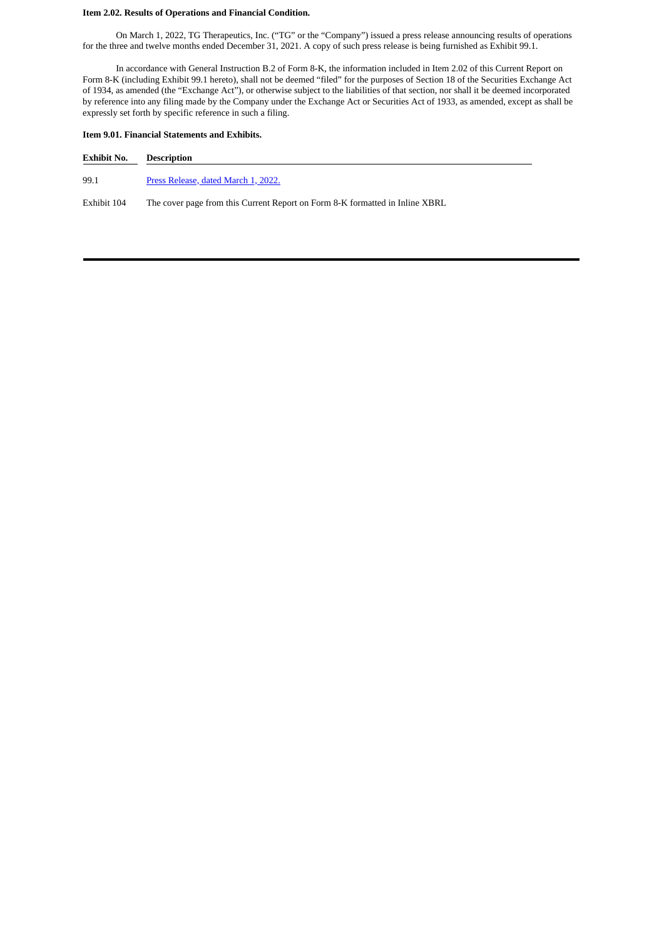## **Item 2.02. Results of Operations and Financial Condition.**

On March 1, 2022, TG Therapeutics, Inc. ("TG" or the "Company") issued a press release announcing results of operations for the three and twelve months ended December 31, 2021. A copy of such press release is being furnished as Exhibit 99.1.

In accordance with General Instruction B.2 of Form 8-K, the information included in Item 2.02 of this Current Report on Form 8-K (including Exhibit 99.1 hereto), shall not be deemed "filed" for the purposes of Section 18 of the Securities Exchange Act of 1934, as amended (the "Exchange Act"), or otherwise subject to the liabilities of that section, nor shall it be deemed incorporated by reference into any filing made by the Company under the Exchange Act or Securities Act of 1933, as amended, except as shall be expressly set forth by specific reference in such a filing.

## **Item 9.01. Financial Statements and Exhibits.**

## **Exhibit No. Description**

99.1 Press [Release,](#page-3-0) dated March 1, 2022.

Exhibit 104 The cover page from this Current Report on Form 8-K formatted in Inline XBRL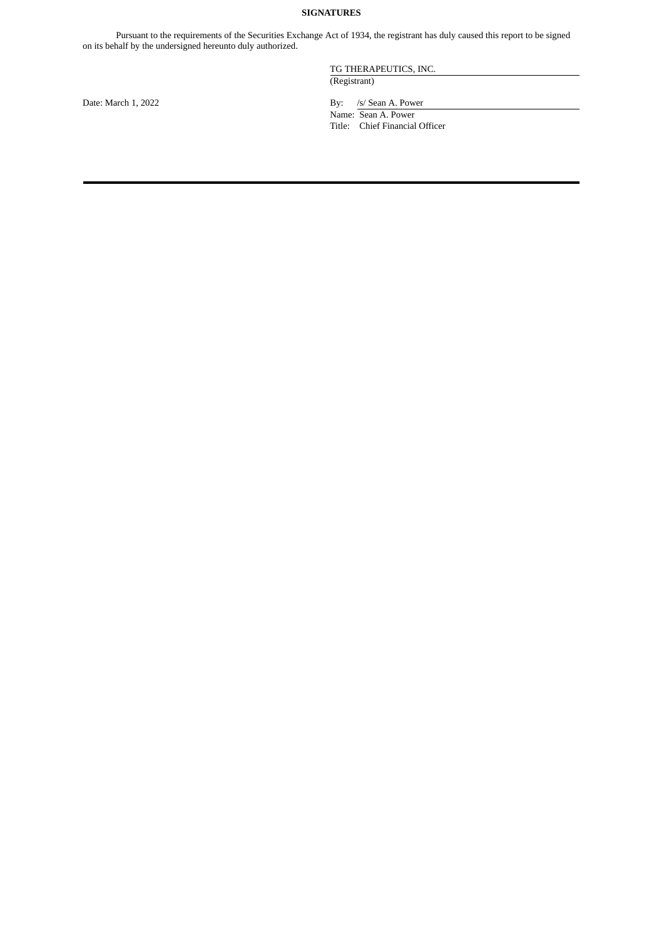## **SIGNATURES**

Pursuant to the requirements of the Securities Exchange Act of 1934, the registrant has duly caused this report to be signed on its behalf by the undersigned hereunto duly authorized.

TG THERAPEUTICS, INC.

(Registrant)

Date: March 1, 2022 By: /s/ Sean A. Power

Name: Sean A. Power Title: Chief Financial Officer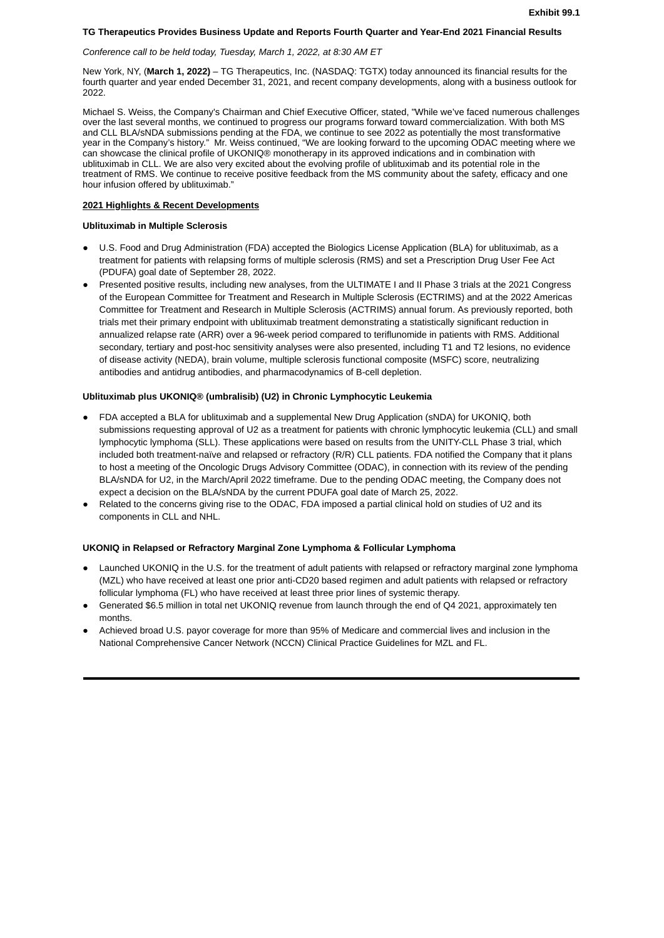#### <span id="page-3-0"></span>**TG Therapeutics Provides Business Update and Reports Fourth Quarter and Year-End 2021 Financial Results**

#### *Conference call to be held today, Tuesday, March 1, 2022, at 8:30 AM ET*

New York, NY, (**March 1, 2022)** – TG Therapeutics, Inc. (NASDAQ: TGTX) today announced its financial results for the fourth quarter and year ended December 31, 2021, and recent company developments, along with a business outlook for 2022.

Michael S. Weiss, the Company's Chairman and Chief Executive Officer, stated, "While we've faced numerous challenges over the last several months, we continued to progress our programs forward toward commercialization. With both MS and CLL BLA/sNDA submissions pending at the FDA, we continue to see 2022 as potentially the most transformative year in the Company's history." Mr. Weiss continued, "We are looking forward to the upcoming ODAC meeting where we can showcase the clinical profile of UKONIQ® monotherapy in its approved indications and in combination with ublituximab in CLL. We are also very excited about the evolving profile of ublituximab and its potential role in the treatment of RMS. We continue to receive positive feedback from the MS community about the safety, efficacy and one hour infusion offered by ublituximab."

## **2021 Highlights & Recent Developments**

## **Ublituximab in Multiple Sclerosis**

- U.S. Food and Drug Administration (FDA) accepted the Biologics License Application (BLA) for ublituximab, as a treatment for patients with relapsing forms of multiple sclerosis (RMS) and set a Prescription Drug User Fee Act (PDUFA) goal date of September 28, 2022.
- Presented positive results, including new analyses, from the ULTIMATE I and II Phase 3 trials at the 2021 Congress of the European Committee for Treatment and Research in Multiple Sclerosis (ECTRIMS) and at the 2022 Americas Committee for Treatment and Research in Multiple Sclerosis (ACTRIMS) annual forum. As previously reported, both trials met their primary endpoint with ublituximab treatment demonstrating a statistically significant reduction in annualized relapse rate (ARR) over a 96-week period compared to teriflunomide in patients with RMS. Additional secondary, tertiary and post-hoc sensitivity analyses were also presented, including T1 and T2 lesions, no evidence of disease activity (NEDA), brain volume, multiple sclerosis functional composite (MSFC) score, neutralizing antibodies and antidrug antibodies, and pharmacodynamics of B-cell depletion.

## **Ublituximab plus UKONIQ® (umbralisib) (U2) in Chronic Lymphocytic Leukemia**

- FDA accepted a BLA for ublituximab and a supplemental New Drug Application (sNDA) for UKONIQ, both submissions requesting approval of U2 as a treatment for patients with chronic lymphocytic leukemia (CLL) and small lymphocytic lymphoma (SLL). These applications were based on results from the UNITY-CLL Phase 3 trial, which included both treatment-naïve and relapsed or refractory (R/R) CLL patients. FDA notified the Company that it plans to host a meeting of the Oncologic Drugs Advisory Committee (ODAC), in connection with its review of the pending BLA/sNDA for U2, in the March/April 2022 timeframe. Due to the pending ODAC meeting, the Company does not expect a decision on the BLA/sNDA by the current PDUFA goal date of March 25, 2022.
- Related to the concerns giving rise to the ODAC, FDA imposed a partial clinical hold on studies of U2 and its components in CLL and NHL.

## **UKONIQ in Relapsed or Refractory Marginal Zone Lymphoma & Follicular Lymphoma**

- Launched UKONIQ in the U.S. for the treatment of adult patients with relapsed or refractory marginal zone lymphoma (MZL) who have received at least one prior anti-CD20 based regimen and adult patients with relapsed or refractory follicular lymphoma (FL) who have received at least three prior lines of systemic therapy.
- Generated \$6.5 million in total net UKONIQ revenue from launch through the end of Q4 2021, approximately ten months.
- Achieved broad U.S. payor coverage for more than 95% of Medicare and commercial lives and inclusion in the National Comprehensive Cancer Network (NCCN) Clinical Practice Guidelines for MZL and FL.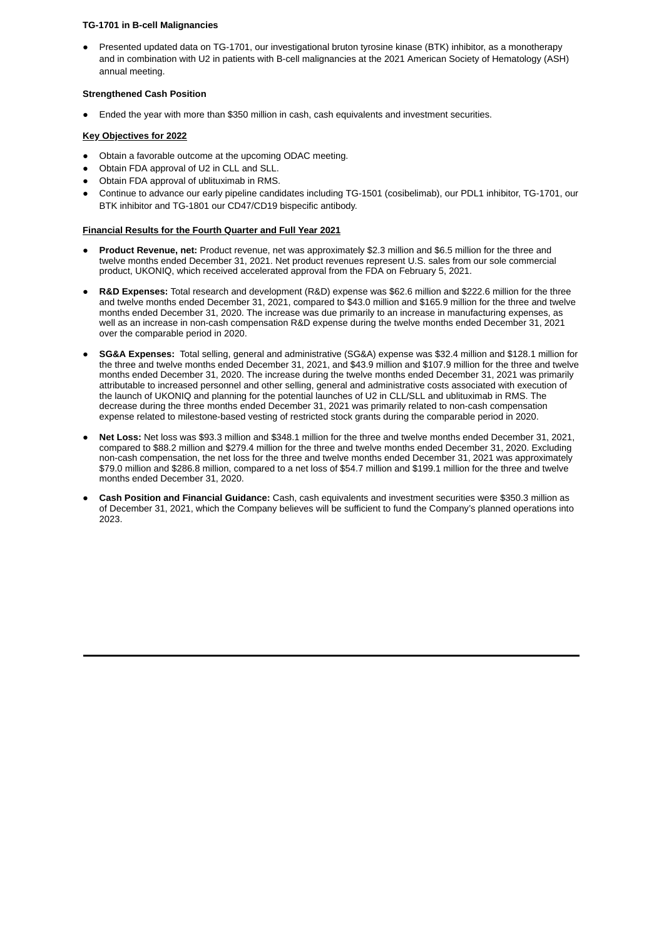## **TG-1701 in B-cell Malignancies**

Presented updated data on TG-1701, our investigational bruton tyrosine kinase (BTK) inhibitor, as a monotherapy and in combination with U2 in patients with B-cell malignancies at the 2021 American Society of Hematology (ASH) annual meeting.

## **Strengthened Cash Position**

Ended the year with more than \$350 million in cash, cash equivalents and investment securities.

## **Key Objectives for 2022**

- Obtain a favorable outcome at the upcoming ODAC meeting.
- Obtain FDA approval of U2 in CLL and SLL.
- Obtain FDA approval of ublituximab in RMS.
- Continue to advance our early pipeline candidates including TG-1501 (cosibelimab), our PDL1 inhibitor, TG-1701, our BTK inhibitor and TG-1801 our CD47/CD19 bispecific antibody.

## **Financial Results for the Fourth Quarter and Full Year 2021**

- **Product Revenue, net:** Product revenue, net was approximately \$2.3 million and \$6.5 million for the three and twelve months ended December 31, 2021. Net product revenues represent U.S. sales from our sole commercial product, UKONIQ, which received accelerated approval from the FDA on February 5, 2021.
- **R&D Expenses:** Total research and development (R&D) expense was \$62.6 million and \$222.6 million for the three and twelve months ended December 31, 2021, compared to \$43.0 million and \$165.9 million for the three and twelve months ended December 31, 2020. The increase was due primarily to an increase in manufacturing expenses, as well as an increase in non-cash compensation R&D expense during the twelve months ended December 31, 2021 over the comparable period in 2020.
- **SG&A Expenses:** Total selling, general and administrative (SG&A) expense was \$32.4 million and \$128.1 million for the three and twelve months ended December 31, 2021, and \$43.9 million and \$107.9 million for the three and twelve months ended December 31, 2020. The increase during the twelve months ended December 31, 2021 was primarily attributable to increased personnel and other selling, general and administrative costs associated with execution of the launch of UKONIQ and planning for the potential launches of U2 in CLL/SLL and ublituximab in RMS. The decrease during the three months ended December 31, 2021 was primarily related to non-cash compensation expense related to milestone-based vesting of restricted stock grants during the comparable period in 2020.
- **Net Loss:** Net loss was \$93.3 million and \$348.1 million for the three and twelve months ended December 31, 2021, compared to \$88.2 million and \$279.4 million for the three and twelve months ended December 31, 2020. Excluding non-cash compensation, the net loss for the three and twelve months ended December 31, 2021 was approximately \$79.0 million and \$286.8 million, compared to a net loss of \$54.7 million and \$199.1 million for the three and twelve months ended December 31, 2020.
- **Cash Position and Financial Guidance:** Cash, cash equivalents and investment securities were \$350.3 million as of December 31, 2021, which the Company believes will be sufficient to fund the Company's planned operations into 2023.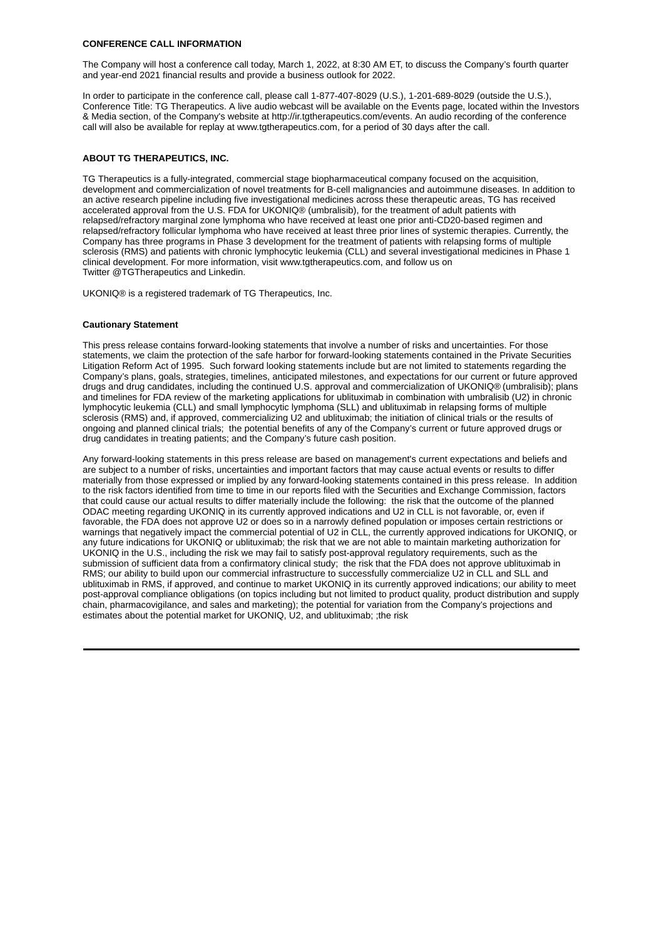## **CONFERENCE CALL INFORMATION**

The Company will host a conference call today, March 1, 2022, at 8:30 AM ET, to discuss the Company's fourth quarter and year-end 2021 financial results and provide a business outlook for 2022.

In order to participate in the conference call, please call 1-877-407-8029 (U.S.), 1-201-689-8029 (outside the U.S.), Conference Title: TG Therapeutics. A live audio webcast will be available on the Events page, located within the Investors & Media section, of the Company's website at http://ir.tgtherapeutics.com/events. An audio recording of the conference call will also be available for replay at www.tgtherapeutics.com, for a period of 30 days after the call.

## **ABOUT TG THERAPEUTICS, INC.**

TG Therapeutics is a fully-integrated, commercial stage biopharmaceutical company focused on the acquisition, development and commercialization of novel treatments for B-cell malignancies and autoimmune diseases. In addition to an active research pipeline including five investigational medicines across these therapeutic areas, TG has received accelerated approval from the U.S. FDA for UKONIQ® (umbralisib), for the treatment of adult patients with relapsed/refractory marginal zone lymphoma who have received at least one prior anti-CD20-based regimen and relapsed/refractory follicular lymphoma who have received at least three prior lines of systemic therapies. Currently, the Company has three programs in Phase 3 development for the treatment of patients with relapsing forms of multiple sclerosis (RMS) and patients with chronic lymphocytic leukemia (CLL) and several investigational medicines in Phase 1 clinical development. For more information, visit www.tgtherapeutics.com, and follow us on Twitter @TGTherapeutics and Linkedin.

UKONIQ® is a registered trademark of TG Therapeutics, Inc.

### **Cautionary Statement**

This press release contains forward-looking statements that involve a number of risks and uncertainties. For those statements, we claim the protection of the safe harbor for forward-looking statements contained in the Private Securities Litigation Reform Act of 1995. Such forward looking statements include but are not limited to statements regarding the Company's plans, goals, strategies, timelines, anticipated milestones, and expectations for our current or future approved drugs and drug candidates, including the continued U.S. approval and commercialization of UKONIQ® (umbralisib); plans and timelines for FDA review of the marketing applications for ublituximab in combination with umbralisib (U2) in chronic lymphocytic leukemia (CLL) and small lymphocytic lymphoma (SLL) and ublituximab in relapsing forms of multiple sclerosis (RMS) and, if approved, commercializing U2 and ublituximab; the initiation of clinical trials or the results of ongoing and planned clinical trials; the potential benefits of any of the Company's current or future approved drugs or drug candidates in treating patients; and the Company's future cash position.

Any forward-looking statements in this press release are based on management's current expectations and beliefs and are subject to a number of risks, uncertainties and important factors that may cause actual events or results to differ materially from those expressed or implied by any forward-looking statements contained in this press release. In addition to the risk factors identified from time to time in our reports filed with the Securities and Exchange Commission, factors that could cause our actual results to differ materially include the following: the risk that the outcome of the planned ODAC meeting regarding UKONIQ in its currently approved indications and U2 in CLL is not favorable, or, even if favorable, the FDA does not approve U2 or does so in a narrowly defined population or imposes certain restrictions or warnings that negatively impact the commercial potential of U2 in CLL, the currently approved indications for UKONIO, or any future indications for UKONIQ or ublituximab; the risk that we are not able to maintain marketing authorization for UKONIQ in the U.S., including the risk we may fail to satisfy post-approval regulatory requirements, such as the submission of sufficient data from a confirmatory clinical study; the risk that the FDA does not approve ublituximab in RMS; our ability to build upon our commercial infrastructure to successfully commercialize U2 in CLL and SLL and ublituximab in RMS, if approved, and continue to market UKONIQ in its currently approved indications; our ability to meet post-approval compliance obligations (on topics including but not limited to product quality, product distribution and supply chain, pharmacovigilance, and sales and marketing); the potential for variation from the Company's projections and estimates about the potential market for UKONIQ, U2, and ublituximab; ;the risk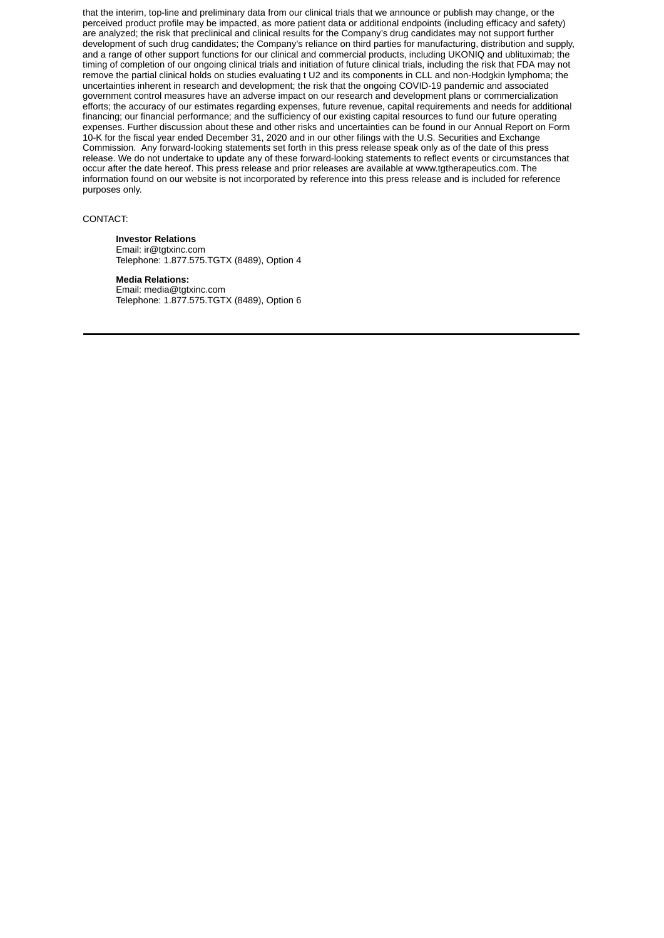that the interim, top-line and preliminary data from our clinical trials that we announce or publish may change, or the perceived product profile may be impacted, as more patient data or additional endpoints (including efficacy and safety) are analyzed; the risk that preclinical and clinical results for the Company's drug candidates may not support further development of such drug candidates; the Company's reliance on third parties for manufacturing, distribution and supply, and a range of other support functions for our clinical and commercial products, including UKONIQ and ublituximab; the timing of completion of our ongoing clinical trials and initiation of future clinical trials, including the risk that FDA may not remove the partial clinical holds on studies evaluating t U2 and its components in CLL and non-Hodgkin lymphoma; the uncertainties inherent in research and development; the risk that the ongoing COVID-19 pandemic and associated government control measures have an adverse impact on our research and development plans or commercialization efforts; the accuracy of our estimates regarding expenses, future revenue, capital requirements and needs for additional financing; our financial performance; and the sufficiency of our existing capital resources to fund our future operating expenses. Further discussion about these and other risks and uncertainties can be found in our Annual Report on Form 10-K for the fiscal year ended December 31, 2020 and in our other filings with the U.S. Securities and Exchange Commission. Any forward-looking statements set forth in this press release speak only as of the date of this press release. We do not undertake to update any of these forward-looking statements to reflect events or circumstances that occur after the date hereof. This press release and prior releases are available at www.tgtherapeutics.com. The information found on our website is not incorporated by reference into this press release and is included for reference purposes only.

## CONTACT:

## **Investor Relations**

Email: ir@tgtxinc.com Telephone: 1.877.575.TGTX (8489), Option 4

## **Media Relations:**

Email: media@tgtxinc.com Telephone: 1.877.575.TGTX (8489), Option 6